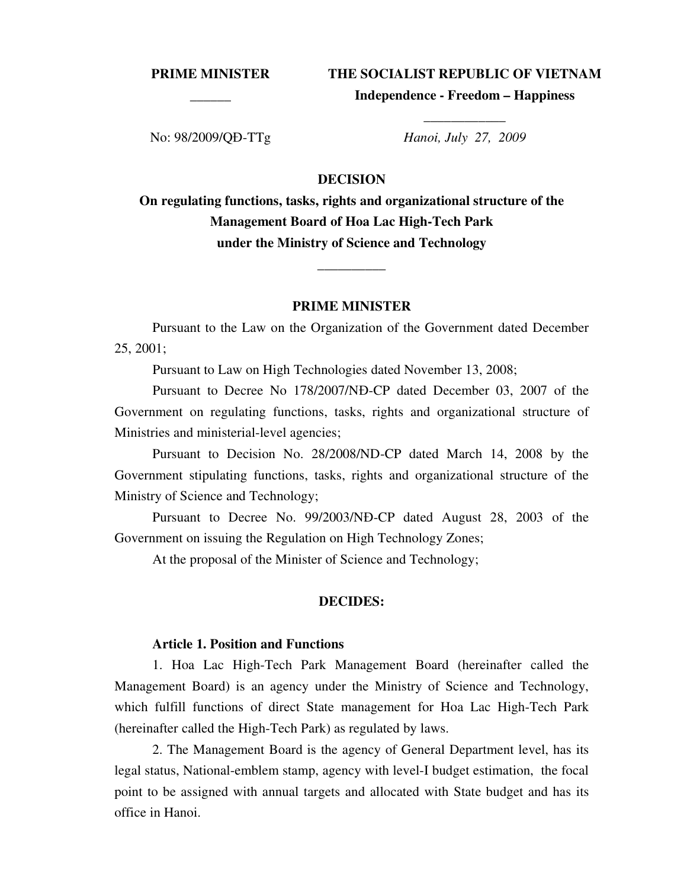**PRIME MINISTER \_\_\_\_\_\_**

**THE SOCIALIST REPUBLIC OF VIETNAM** 

**Independence - Freedom – Happiness \_\_\_\_\_\_\_\_\_\_\_\_** 

No: 98/2009/QĐ-TTg *Hanoi, July 27, 2009*

## **DECISION**

**On regulating functions, tasks, rights and organizational structure of the Management Board of Hoa Lac High-Tech Park under the Ministry of Science and Technology** 

\_\_\_\_\_\_\_\_\_\_

## **PRIME MINISTER**

Pursuant to the Law on the Organization of the Government dated December 25, 2001;

Pursuant to Law on High Technologies dated November 13, 2008;

Pursuant to Decree No 178/2007/NĐ-CP dated December 03, 2007 of the Government on regulating functions, tasks, rights and organizational structure of Ministries and ministerial-level agencies;

Pursuant to Decision No. 28/2008/ND-CP dated March 14, 2008 by the Government stipulating functions, tasks, rights and organizational structure of the Ministry of Science and Technology;

Pursuant to Decree No. 99/2003/NĐ-CP dated August 28, 2003 of the Government on issuing the Regulation on High Technology Zones;

At the proposal of the Minister of Science and Technology;

## **DECIDES:**

## **Article 1. Position and Functions**

1. Hoa Lac High-Tech Park Management Board (hereinafter called the Management Board) is an agency under the Ministry of Science and Technology, which fulfill functions of direct State management for Hoa Lac High-Tech Park (hereinafter called the High-Tech Park) as regulated by laws.

2. The Management Board is the agency of General Department level, has its legal status, National-emblem stamp, agency with level-I budget estimation, the focal point to be assigned with annual targets and allocated with State budget and has its office in Hanoi.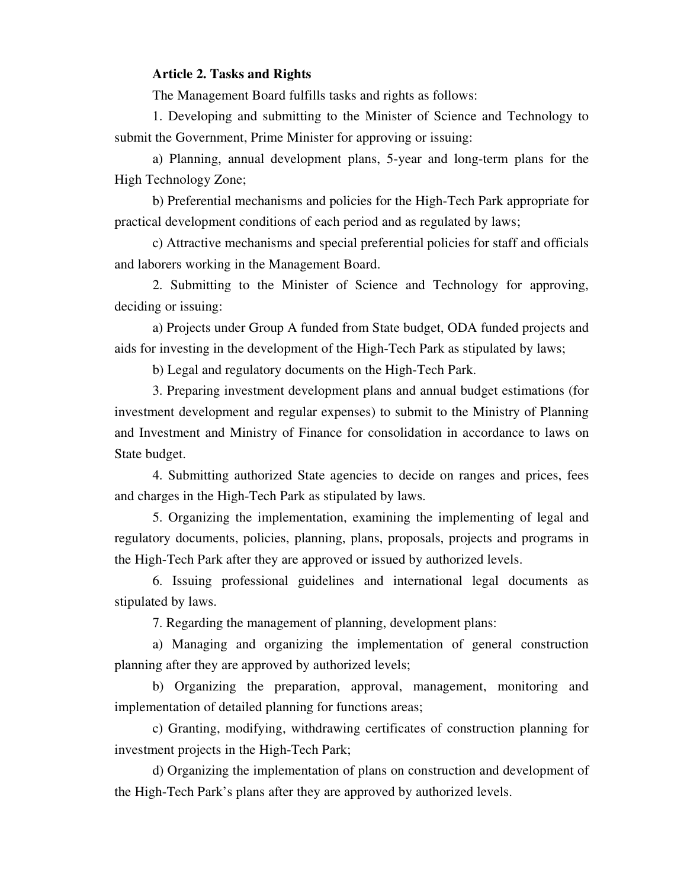## **Article 2. Tasks and Rights**

The Management Board fulfills tasks and rights as follows:

1. Developing and submitting to the Minister of Science and Technology to submit the Government, Prime Minister for approving or issuing:

a) Planning, annual development plans, 5-year and long-term plans for the High Technology Zone;

b) Preferential mechanisms and policies for the High-Tech Park appropriate for practical development conditions of each period and as regulated by laws;

c) Attractive mechanisms and special preferential policies for staff and officials and laborers working in the Management Board.

2. Submitting to the Minister of Science and Technology for approving, deciding or issuing:

a) Projects under Group A funded from State budget, ODA funded projects and aids for investing in the development of the High-Tech Park as stipulated by laws;

b) Legal and regulatory documents on the High-Tech Park.

3. Preparing investment development plans and annual budget estimations (for investment development and regular expenses) to submit to the Ministry of Planning and Investment and Ministry of Finance for consolidation in accordance to laws on State budget.

4. Submitting authorized State agencies to decide on ranges and prices, fees and charges in the High-Tech Park as stipulated by laws.

5. Organizing the implementation, examining the implementing of legal and regulatory documents, policies, planning, plans, proposals, projects and programs in the High-Tech Park after they are approved or issued by authorized levels.

6. Issuing professional guidelines and international legal documents as stipulated by laws.

7. Regarding the management of planning, development plans:

a) Managing and organizing the implementation of general construction planning after they are approved by authorized levels;

b) Organizing the preparation, approval, management, monitoring and implementation of detailed planning for functions areas;

c) Granting, modifying, withdrawing certificates of construction planning for investment projects in the High-Tech Park;

d) Organizing the implementation of plans on construction and development of the High-Tech Park's plans after they are approved by authorized levels.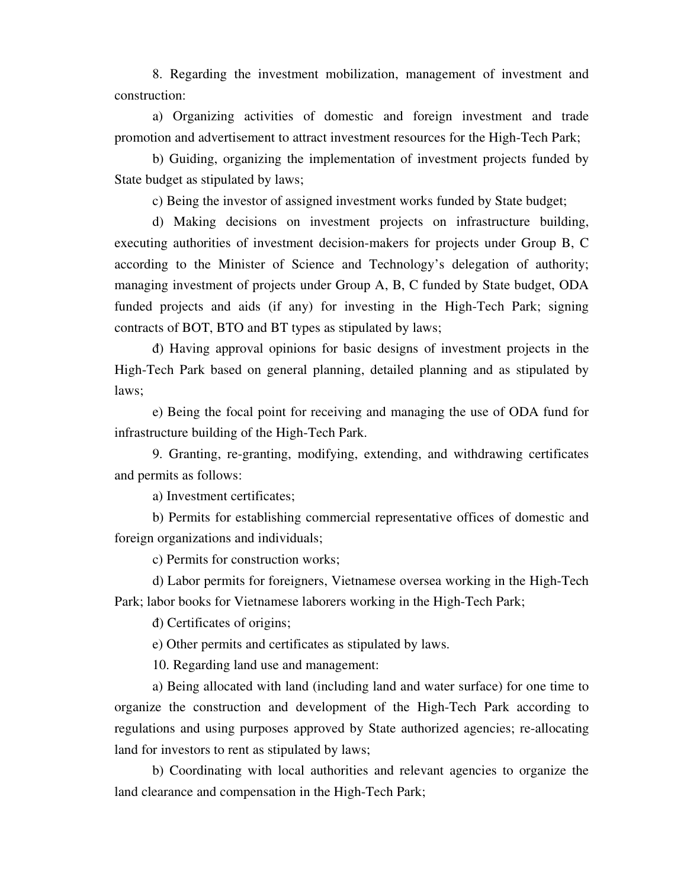8. Regarding the investment mobilization, management of investment and construction:

a) Organizing activities of domestic and foreign investment and trade promotion and advertisement to attract investment resources for the High-Tech Park;

b) Guiding, organizing the implementation of investment projects funded by State budget as stipulated by laws;

c) Being the investor of assigned investment works funded by State budget;

d) Making decisions on investment projects on infrastructure building, executing authorities of investment decision-makers for projects under Group B, C according to the Minister of Science and Technology's delegation of authority; managing investment of projects under Group A, B, C funded by State budget, ODA funded projects and aids (if any) for investing in the High-Tech Park; signing contracts of BOT, BTO and BT types as stipulated by laws;

đ) Having approval opinions for basic designs of investment projects in the High-Tech Park based on general planning, detailed planning and as stipulated by laws;

e) Being the focal point for receiving and managing the use of ODA fund for infrastructure building of the High-Tech Park.

9. Granting, re-granting, modifying, extending, and withdrawing certificates and permits as follows:

a) Investment certificates;

b) Permits for establishing commercial representative offices of domestic and foreign organizations and individuals;

c) Permits for construction works;

d) Labor permits for foreigners, Vietnamese oversea working in the High-Tech Park; labor books for Vietnamese laborers working in the High-Tech Park;

đ) Certificates of origins;

e) Other permits and certificates as stipulated by laws.

10. Regarding land use and management:

a) Being allocated with land (including land and water surface) for one time to organize the construction and development of the High-Tech Park according to regulations and using purposes approved by State authorized agencies; re-allocating land for investors to rent as stipulated by laws;

b) Coordinating with local authorities and relevant agencies to organize the land clearance and compensation in the High-Tech Park;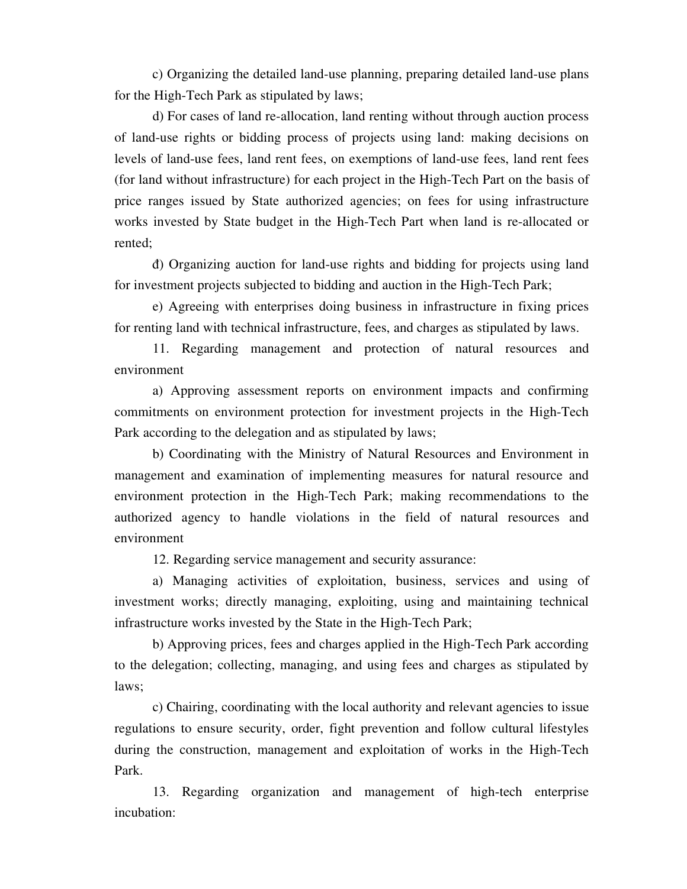c) Organizing the detailed land-use planning, preparing detailed land-use plans for the High-Tech Park as stipulated by laws;

d) For cases of land re-allocation, land renting without through auction process of land-use rights or bidding process of projects using land: making decisions on levels of land-use fees, land rent fees, on exemptions of land-use fees, land rent fees (for land without infrastructure) for each project in the High-Tech Part on the basis of price ranges issued by State authorized agencies; on fees for using infrastructure works invested by State budget in the High-Tech Part when land is re-allocated or rented;

đ) Organizing auction for land-use rights and bidding for projects using land for investment projects subjected to bidding and auction in the High-Tech Park;

e) Agreeing with enterprises doing business in infrastructure in fixing prices for renting land with technical infrastructure, fees, and charges as stipulated by laws.

11. Regarding management and protection of natural resources and environment

a) Approving assessment reports on environment impacts and confirming commitments on environment protection for investment projects in the High-Tech Park according to the delegation and as stipulated by laws;

b) Coordinating with the Ministry of Natural Resources and Environment in management and examination of implementing measures for natural resource and environment protection in the High-Tech Park; making recommendations to the authorized agency to handle violations in the field of natural resources and environment

12. Regarding service management and security assurance:

a) Managing activities of exploitation, business, services and using of investment works; directly managing, exploiting, using and maintaining technical infrastructure works invested by the State in the High-Tech Park;

b) Approving prices, fees and charges applied in the High-Tech Park according to the delegation; collecting, managing, and using fees and charges as stipulated by laws;

c) Chairing, coordinating with the local authority and relevant agencies to issue regulations to ensure security, order, fight prevention and follow cultural lifestyles during the construction, management and exploitation of works in the High-Tech Park.

13. Regarding organization and management of high-tech enterprise incubation: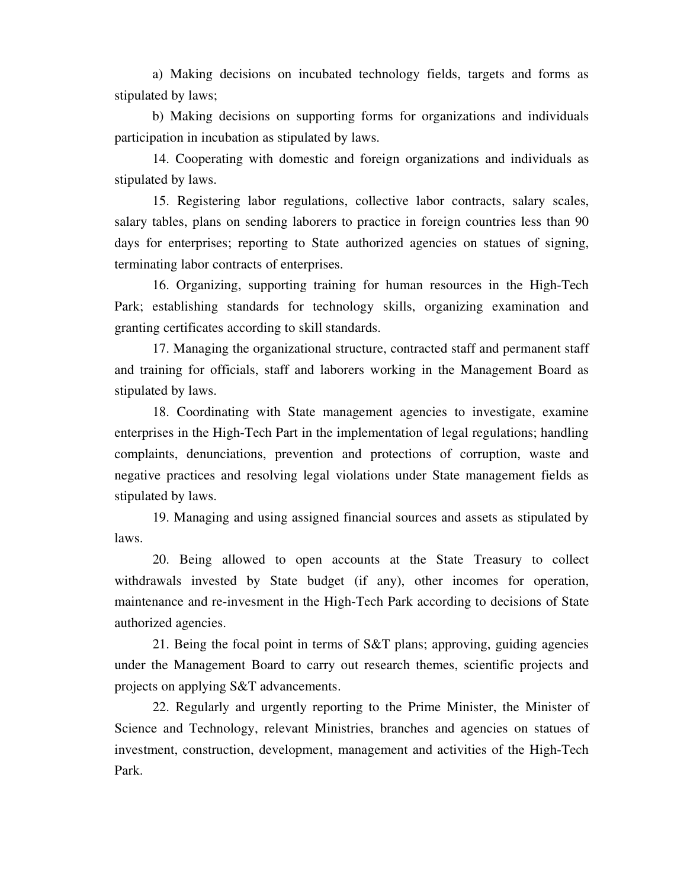a) Making decisions on incubated technology fields, targets and forms as stipulated by laws;

b) Making decisions on supporting forms for organizations and individuals participation in incubation as stipulated by laws.

14. Cooperating with domestic and foreign organizations and individuals as stipulated by laws.

15. Registering labor regulations, collective labor contracts, salary scales, salary tables, plans on sending laborers to practice in foreign countries less than 90 days for enterprises; reporting to State authorized agencies on statues of signing, terminating labor contracts of enterprises.

16. Organizing, supporting training for human resources in the High-Tech Park; establishing standards for technology skills, organizing examination and granting certificates according to skill standards.

17. Managing the organizational structure, contracted staff and permanent staff and training for officials, staff and laborers working in the Management Board as stipulated by laws.

18. Coordinating with State management agencies to investigate, examine enterprises in the High-Tech Part in the implementation of legal regulations; handling complaints, denunciations, prevention and protections of corruption, waste and negative practices and resolving legal violations under State management fields as stipulated by laws.

19. Managing and using assigned financial sources and assets as stipulated by laws.

20. Being allowed to open accounts at the State Treasury to collect withdrawals invested by State budget (if any), other incomes for operation, maintenance and re-invesment in the High-Tech Park according to decisions of State authorized agencies.

21. Being the focal point in terms of S&T plans; approving, guiding agencies under the Management Board to carry out research themes, scientific projects and projects on applying S&T advancements.

22. Regularly and urgently reporting to the Prime Minister, the Minister of Science and Technology, relevant Ministries, branches and agencies on statues of investment, construction, development, management and activities of the High-Tech Park.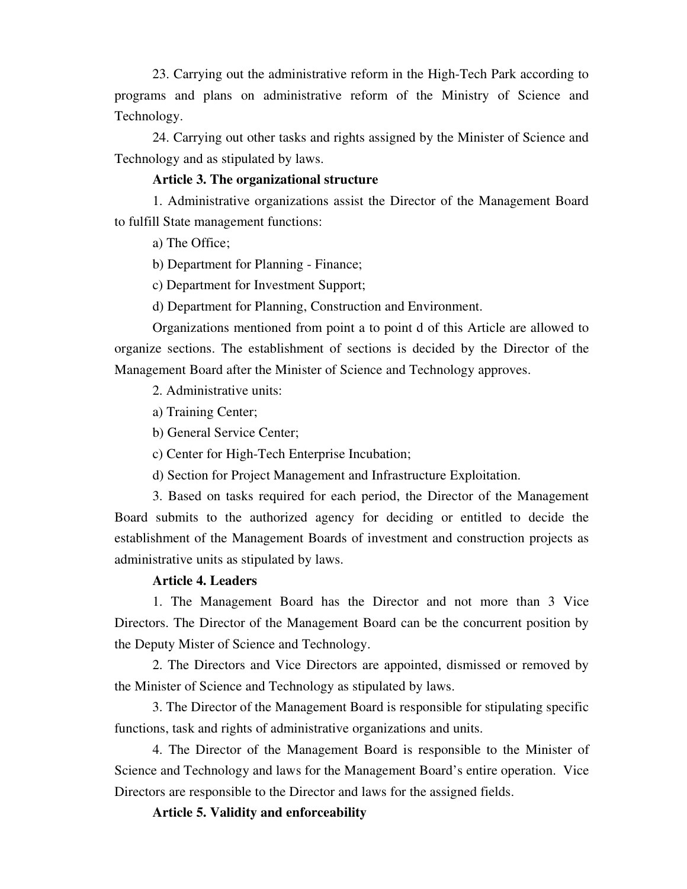23. Carrying out the administrative reform in the High-Tech Park according to programs and plans on administrative reform of the Ministry of Science and Technology.

24. Carrying out other tasks and rights assigned by the Minister of Science and Technology and as stipulated by laws.

# **Article 3. The organizational structure**

1. Administrative organizations assist the Director of the Management Board to fulfill State management functions:

a) The Office;

b) Department for Planning - Finance;

c) Department for Investment Support;

d) Department for Planning, Construction and Environment.

Organizations mentioned from point a to point d of this Article are allowed to organize sections. The establishment of sections is decided by the Director of the Management Board after the Minister of Science and Technology approves.

2. Administrative units:

a) Training Center;

b) General Service Center;

c) Center for High-Tech Enterprise Incubation;

d) Section for Project Management and Infrastructure Exploitation.

3. Based on tasks required for each period, the Director of the Management Board submits to the authorized agency for deciding or entitled to decide the establishment of the Management Boards of investment and construction projects as administrative units as stipulated by laws.

## **Article 4. Leaders**

1. The Management Board has the Director and not more than 3 Vice Directors. The Director of the Management Board can be the concurrent position by the Deputy Mister of Science and Technology.

2. The Directors and Vice Directors are appointed, dismissed or removed by the Minister of Science and Technology as stipulated by laws.

3. The Director of the Management Board is responsible for stipulating specific functions, task and rights of administrative organizations and units.

4. The Director of the Management Board is responsible to the Minister of Science and Technology and laws for the Management Board's entire operation. Vice Directors are responsible to the Director and laws for the assigned fields.

**Article 5. Validity and enforceability**